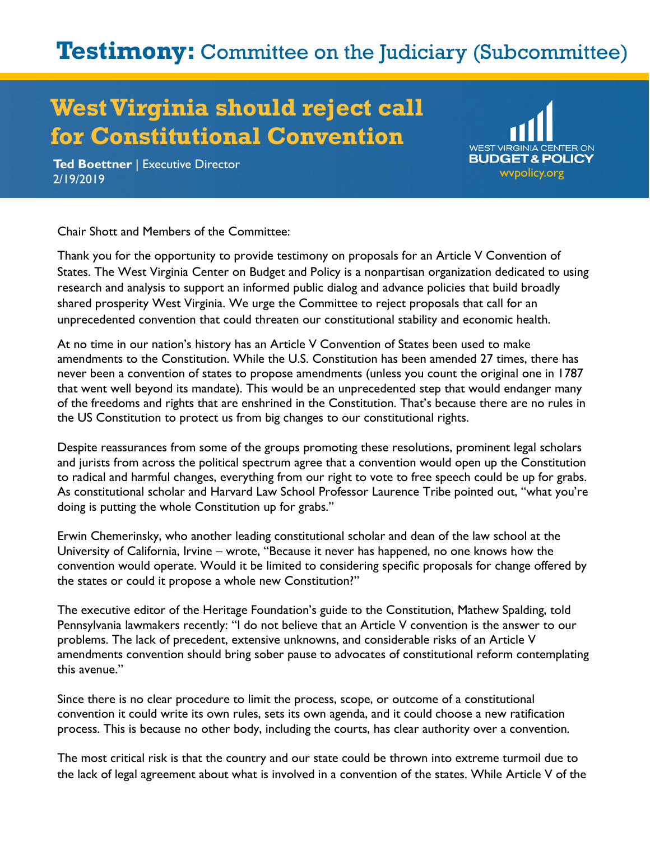## **Testimony:** Committee on the Judiciary (Subcommittee)

## **West Virginia should reject call for Constitutional Convention**



**Ted Boettner** | Executive Director **2/19/2019** wypolicy.org 2019/2019

Chair Shott and Members of the Committee:

Thank you for the opportunity to provide testimony on proposals for an Article V Convention of States. The West Virginia Center on Budget and Policy is a nonpartisan organization dedicated to using research and analysis to support an informed public dialog and advance policies that build broadly shared prosperity West Virginia. We urge the Committee to reject proposals that call for an unprecedented convention that could threaten our constitutional stability and economic health.

At no time in our nation's history has an Article V Convention of States been used to make amendments to the Constitution. While the U.S. Constitution has been amended 27 times, there has never been a convention of states to propose amendments (unless you count the original one in 1787 that went well beyond its mandate). This would be an unprecedented step that would endanger many of the freedoms and rights that are enshrined in the Constitution. That's because there are no rules in the US Constitution to protect us from big changes to our constitutional rights.

Despite reassurances from some of the groups promoting these resolutions, prominent legal scholars and jurists from across the political spectrum agree that a convention would open up the Constitution to radical and harmful changes, everything from our right to vote to free speech could be up for grabs. As constitutional scholar and Harvard Law School Professor Laurence Tribe pointed out, "what you're doing is putting the whole Constitution up for grabs."

Erwin Chemerinsky, who another leading constitutional scholar and dean of the law school at the University of California, Irvine – wrote, "Because it never has happened, no one knows how the convention would operate. Would it be limited to considering specific proposals for change offered by the states or could it propose a whole new Constitution?"

The executive editor of the Heritage Foundation's guide to the Constitution, Mathew Spalding, told Pennsylvania lawmakers recently: "I do not believe that an Article V convention is the answer to our problems. The lack of precedent, extensive unknowns, and considerable risks of an Article V amendments convention should bring sober pause to advocates of constitutional reform contemplating this avenue."

Since there is no clear procedure to limit the process, scope, or outcome of a constitutional convention it could write its own rules, sets its own agenda, and it could choose a new ratification process. This is because no other body, including the courts, has clear authority over a convention.

The most critical risk is that the country and our state could be thrown into extreme turmoil due to the lack of legal agreement about what is involved in a convention of the states. While Article V of the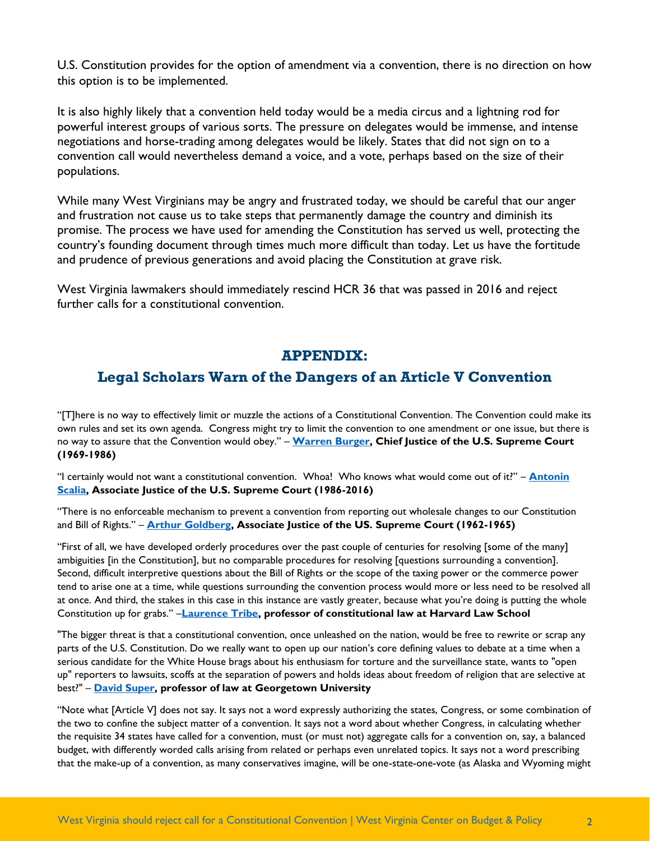U.S. Constitution provides for the option of amendment via a convention, there is no direction on how this option is to be implemented.

It is also highly likely that a convention held today would be a media circus and a lightning rod for powerful interest groups of various sorts. The pressure on delegates would be immense, and intense negotiations and horse-trading among delegates would be likely. States that did not sign on to a convention call would nevertheless demand a voice, and a vote, perhaps based on the size of their populations.

While many West Virginians may be angry and frustrated today, we should be careful that our anger and frustration not cause us to take steps that permanently damage the country and diminish its promise. The process we have used for amending the Constitution has served us well, protecting the country's founding document through times much more difficult than today. Let us have the fortitude and prudence of previous generations and avoid placing the Constitution at grave risk.

West Virginia lawmakers should immediately rescind HCR 36 that was passed in 2016 and reject further calls for a constitutional convention.

## **APPENDIX:**

## **Legal Scholars Warn of the Dangers of an Article V Convention**

"[T]here is no way to effectively limit or muzzle the actions of a Constitutional Convention. The Convention could make its own rules and set its own agenda. Congress might try to limit the convention to one amendment or one issue, but there is no way to assure that the Convention would obey." – **[Warren Burger,](https://i2i.org/wp-content/uploads/2013/11/Burger-letter2.pdf) Chief Justice of the U.S. Supreme Court (1969-1986)**

"I certainly would not want a constitutional convention. Whoa! Who knows what would come out of it?" – **[Antonin](http://www.abajournal.com/news/article/how_scalia_and_ginsburg_would_amend_the_constitution/)  [Scalia,](http://www.abajournal.com/news/article/how_scalia_and_ginsburg_would_amend_the_constitution/) Associate Justice of the U.S. Supreme Court (1986-2016)**

"There is no enforceable mechanism to prevent a convention from reporting out wholesale changes to our Constitution and Bill of Rights." – **[Arthur Goldberg,](http://www.cbpp.org/sites/default/files/atoms/files/7-16-14sfp.pdf) Associate Justice of the US. Supreme Court (1962-1965)**

"First of all, we have developed orderly procedures over the past couple of centuries for resolving [some of the many] ambiguities [in the Constitution], but no comparable procedures for resolving [questions surrounding a convention]. Second, difficult interpretive questions about the Bill of Rights or the scope of the taxing power or the commerce power tend to arise one at a time, while questions surrounding the convention process would more or less need to be resolved all at once. And third, the stakes in this case in this instance are vastly greater, because what you're doing is putting the whole Constitution up for grabs." –**[Laurence Tribe,](http://www.cbpp.org/sites/default/files/atoms/files/7-16-14sfp.pdf) professor of constitutional law at Harvard Law School**

"The bigger threat is that a constitutional convention, once unleashed on the nation, would be free to rewrite or scrap any parts of the U.S. Constitution. Do we really want to open up our nation's core defining values to debate at a time when a serious candidate for the White House brags about his enthusiasm for torture and the surveillance state, wants to "open up" reporters to lawsuits, scoffs at the separation of powers and holds ideas about freedom of religion that are selective at best?" – **[David Super,](http://www.latimes.com/opinion/op-ed/la-oe-super-constitutional-convention-balanced-budget-amendment-20160706-snap-story.html) professor of law at Georgetown University**

"Note what [Article V] does not say. It says not a word expressly authorizing the states, Congress, or some combination of the two to confine the subject matter of a convention. It says not a word about whether Congress, in calculating whether the requisite 34 states have called for a convention, must (or must not) aggregate calls for a convention on, say, a balanced budget, with differently worded calls arising from related or perhaps even unrelated topics. It says not a word prescribing that the make-up of a convention, as many conservatives imagine, will be one-state-one-vote (as Alaska and Wyoming might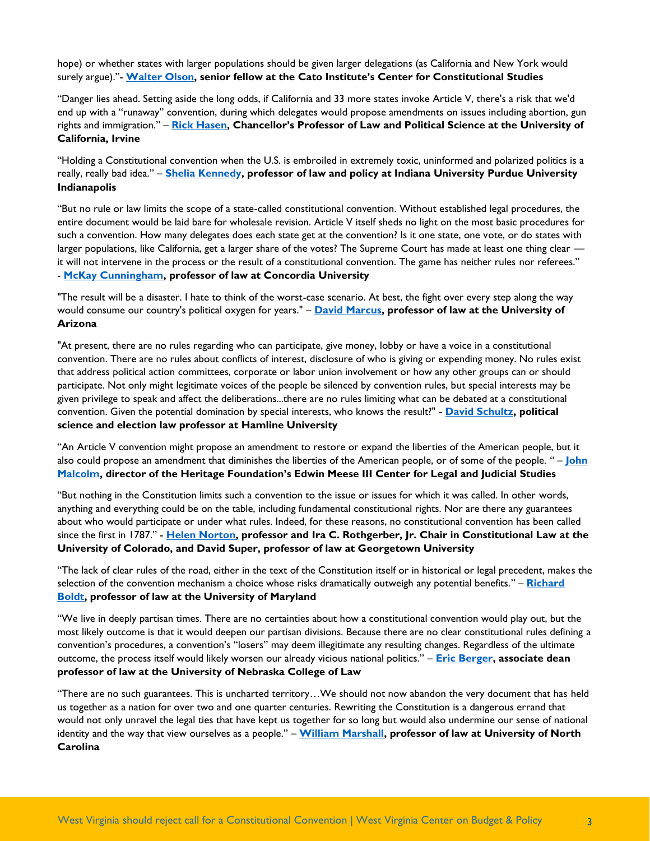hope) or whether states with larger populations should be given larger delegations (as California and New York would surely argue)."- **[Walter Olson,](https://www.cato.org/publications/commentary/article-v-constitutional-convention) senior fellow at the Cato Institute's Center for Constitutional Studies**

"Danger lies ahead. Setting aside the long odds, if California and 33 more states invoke Article V, there's a risk that we'd end up with a "runaway" convention, during which delegates would propose amendments on issues including abortion, gun rights and immigration." – **[Rick Hasen](http://www.latimes.com/opinion/op-ed/la-oe-0106-hasen-constitutional-convention-campaign-finance-20160106-story.html), Chancellor's Professor of Law and Political Science at the University of California, Irvine**

"Holding a Constitutional convention when the U.S. is embroiled in extremely toxic, uninformed and polarized politics is a really, really bad idea." – **[Shelia Kennedy,](https://www.sheilakennedy.net/2017/03/another-constitutional-convention-perish-the-thought/) professor of law and policy at Indiana University Purdue University Indianapolis**

"But no rule or law limits the scope of a state-called constitutional convention. Without established legal procedures, the entire document would be laid bare for wholesale revision. Article V itself sheds no light on the most basic procedures for such a convention. How many delegates does each state get at the convention? Is it one state, one vote, or do states with larger populations, like California, get a larger share of the votes? The Supreme Court has made at least one thing clear it will not intervene in the process or the result of a constitutional convention. The game has neither rules nor referees." - **[McKay Cunningham,](http://www.idahostatesman.com/opinion/readers-opinion/article130502289.html) professor of law at Concordia University**

"The result will be a disaster. I hate to think of the worst-case scenario. At best, the fight over every step along the way would consume our country's political oxygen for years." – **[David Marcus,](https://www.azcentral.com/story/news/politics/legislature/2017/09/09/article-v-constitutional-convention-planners-convene-in-arizona/618218001/) professor of law at the University of Arizona**

"At present, there are no rules regarding who can participate, give money, lobby or have a voice in a constitutional convention. There are no rules about conflicts of interest, disclosure of who is giving or expending money. No rules exist that address political action committees, corporate or labor union involvement or how any other groups can or should participate. Not only might legitimate voices of the people be silenced by convention rules, but special interests may be given privilege to speak and affect the deliberations...there are no rules limiting what can be debated at a constitutional convention. Given the potential domination by special interests, who knows the result?" - **[David Schultz,](https://www.twincities.com/2018/03/18/david-schultz-why-a-constitutional-convention-is-a-bad-idea/) political science and election law professor at Hamline University**

"An Article V convention might propose an amendment to restore or expand the liberties of the American people, but it also could propose an amendment that diminishes the liberties of the American people, or of some of the people. " – **[John](http://www.heritage.org/the-constitution/report/consideration-convention-propose-amendments-under-article-v-the-us)  [Malcolm](http://www.heritage.org/the-constitution/report/consideration-convention-propose-amendments-under-article-v-the-us), director of the Heritage Foundation's Edwin Meese III Center for Legal and Judicial Studies**

"But nothing in the Constitution limits such a convention to the issue or issues for which it was called. In other words, anything and everything could be on the table, including fundamental constitutional rights. Nor are there any guarantees about who would participate or under what rules. Indeed, for these reasons, no constitutional convention has been called since the first in 1787." - **[Helen Norton,](https://www.denverpost.com/2018/04/20/gambling-with-our-constitution/) professor and Ira C. Rothgerber, Jr. Chair in Constitutional Law at the University of Colorado, and David Super, professor of law at Georgetown University**

"The lack of clear rules of the road, either in the text of the Constitution itself or in historical or legal precedent, makes the selection of the convention mechanism a choice whose risks dramatically outweigh any potential benefits." – **[Richard](http://www.baltimoresun.com/news/opinion/oped/bs-ed-op-0327-constitutional-convention-20180326-story.html)  [Boldt,](http://www.baltimoresun.com/news/opinion/oped/bs-ed-op-0327-constitutional-convention-20180326-story.html) professor of law at the University of Maryland**

"We live in deeply partisan times. There are no certainties about how a constitutional convention would play out, but the most likely outcome is that it would deepen our partisan divisions. Because there are no clear constitutional rules defining a convention's procedures, a convention's "losers" may deem illegitimate any resulting changes. Regardless of the ultimate outcome, the process itself would likely worsen our already vicious national politics." – **[Eric Berger,](http://www.omaha.com/opinion/midlands-voices-the-dangers-of-a-constitutional-convention/article_23467288-56aa-5a1b-8b58-8f1b3b203fdd.html) associate dean professor of law at the University of Nebraska College of Law**

"There are no such guarantees. This is uncharted territory…We should not now abandon the very document that has held us together as a nation for over two and one quarter centuries. Rewriting the Constitution is a dangerous errand that would not only unravel the legal ties that have kept us together for so long but would also undermine our sense of national identity and the way that view ourselves as a people." – **[William Marshall,](http://www.spokesman.com/blogs/boise/2017/feb/22/professors-warns-dangers-article-v-constitutional-convention/) professor of law at University of North Carolina**